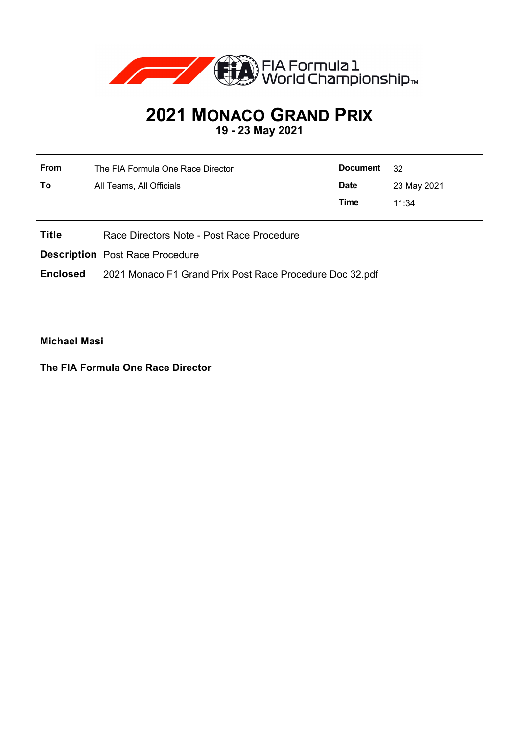

## **2021 MONACO GRAND PRIX**

**19 - 23 May 2021**

| From | The FIA Formula One Race Director | Document    | - 32        |
|------|-----------------------------------|-------------|-------------|
| To   | All Teams, All Officials          | <b>Date</b> | 23 May 2021 |
|      |                                   | Time        | 11:34       |

**Title** Race Directors Note - Post Race Procedure

**Description** Post Race Procedure

**Enclosed** 2021 Monaco F1 Grand Prix Post Race Procedure Doc 32.pdf

**Michael Masi**

**The FIA Formula One Race Director**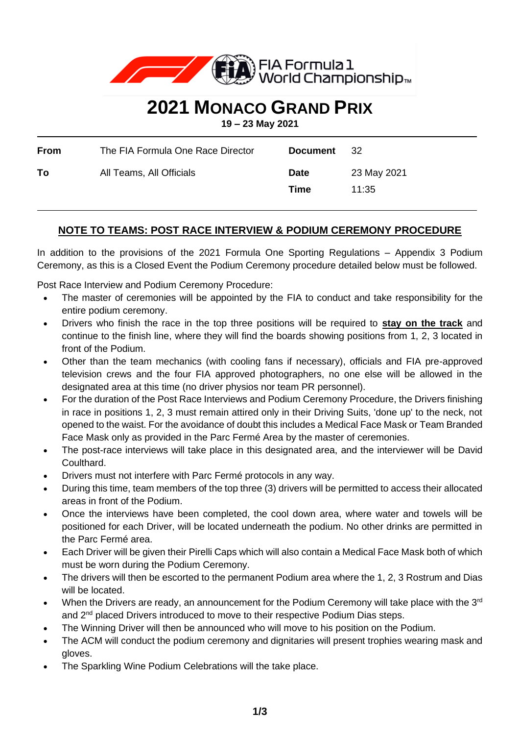

## **2021 MONACO GRAND PRIX**

**19 – 23 May 2021**

| From | The FIA Formula One Race Director | <b>Document</b>     | - 32                 |
|------|-----------------------------------|---------------------|----------------------|
| To.  | All Teams, All Officials          | <b>Date</b><br>Time | 23 May 2021<br>11:35 |

## **NOTE TO TEAMS: POST RACE INTERVIEW & PODIUM CEREMONY PROCEDURE**

In addition to the provisions of the 2021 Formula One Sporting Regulations – Appendix 3 Podium Ceremony, as this is a Closed Event the Podium Ceremony procedure detailed below must be followed.

Post Race Interview and Podium Ceremony Procedure:

- The master of ceremonies will be appointed by the FIA to conduct and take responsibility for the entire podium ceremony.
- Drivers who finish the race in the top three positions will be required to **stay on the track** and continue to the finish line, where they will find the boards showing positions from 1, 2, 3 located in front of the Podium.
- Other than the team mechanics (with cooling fans if necessary), officials and FIA pre-approved television crews and the four FIA approved photographers, no one else will be allowed in the designated area at this time (no driver physios nor team PR personnel).
- For the duration of the Post Race Interviews and Podium Ceremony Procedure, the Drivers finishing in race in positions 1, 2, 3 must remain attired only in their Driving Suits, 'done up' to the neck, not opened to the waist. For the avoidance of doubt this includes a Medical Face Mask or Team Branded Face Mask only as provided in the Parc Fermé Area by the master of ceremonies.
- The post-race interviews will take place in this designated area, and the interviewer will be David Coulthard.
- Drivers must not interfere with Parc Fermé protocols in any way.
- During this time, team members of the top three (3) drivers will be permitted to access their allocated areas in front of the Podium.
- Once the interviews have been completed, the cool down area, where water and towels will be positioned for each Driver, will be located underneath the podium. No other drinks are permitted in the Parc Fermé area.
- Each Driver will be given their Pirelli Caps which will also contain a Medical Face Mask both of which must be worn during the Podium Ceremony.
- The drivers will then be escorted to the permanent Podium area where the 1, 2, 3 Rostrum and Dias will be located.
- When the Drivers are ready, an announcement for the Podium Ceremony will take place with the 3<sup>rd</sup> and 2<sup>nd</sup> placed Drivers introduced to move to their respective Podium Dias steps.
- The Winning Driver will then be announced who will move to his position on the Podium.
- The ACM will conduct the podium ceremony and dignitaries will present trophies wearing mask and gloves.
- The Sparkling Wine Podium Celebrations will the take place.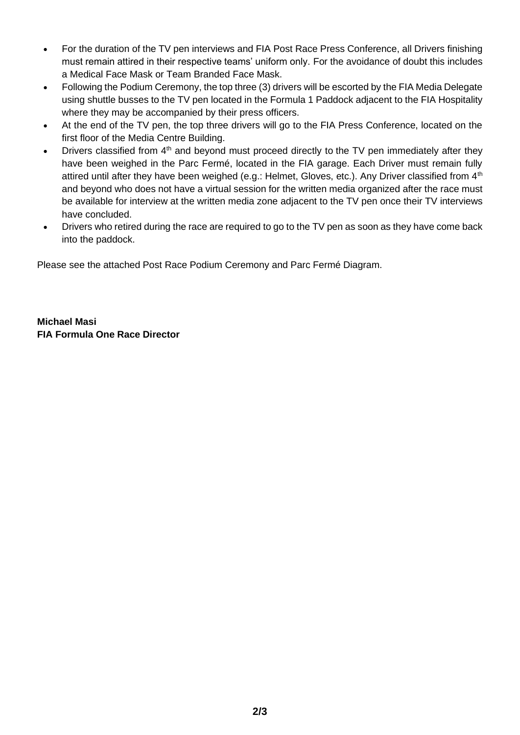- For the duration of the TV pen interviews and FIA Post Race Press Conference, all Drivers finishing must remain attired in their respective teams' uniform only. For the avoidance of doubt this includes a Medical Face Mask or Team Branded Face Mask.
- Following the Podium Ceremony, the top three (3) drivers will be escorted by the FIA Media Delegate using shuttle busses to the TV pen located in the Formula 1 Paddock adjacent to the FIA Hospitality where they may be accompanied by their press officers.
- At the end of the TV pen, the top three drivers will go to the FIA Press Conference, located on the first floor of the Media Centre Building.
- Drivers classified from 4<sup>th</sup> and beyond must proceed directly to the TV pen immediately after they have been weighed in the Parc Fermé, located in the FIA garage. Each Driver must remain fully attired until after they have been weighed (e.g.: Helmet, Gloves, etc.). Any Driver classified from 4<sup>th</sup> and beyond who does not have a virtual session for the written media organized after the race must be available for interview at the written media zone adjacent to the TV pen once their TV interviews have concluded.
- Drivers who retired during the race are required to go to the TV pen as soon as they have come back into the paddock.

Please see the attached Post Race Podium Ceremony and Parc Fermé Diagram.

**Michael Masi FIA Formula One Race Director**